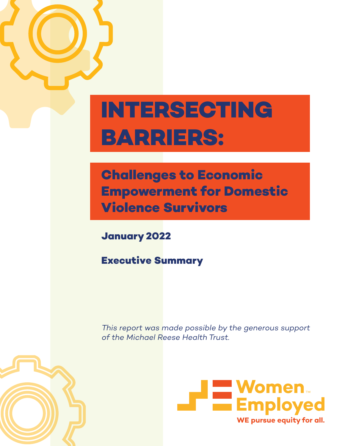## **INTERSECTING BARRIERS:**

**Challenges to Economic Empowerment for Domestic Violence Survivors**

**January 2022**

**Executive Summary**

*This report was made possible by the generous support of the Michael Reese Health Trust.*



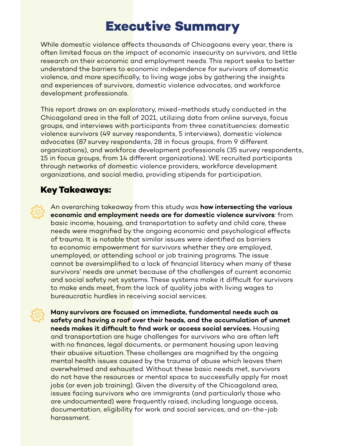## **Executive Summary**

While domestic violence affects thousands of Chicagoans every year, there is often limited focus on the impact of economic insecurity on survivors, and little research on their economic and employment needs. This report seeks to better understand the barriers to economic independence for survivors of domestic violence, and more specifically, to living wage jobs by gathering the insights and experiences of survivors, domestic violence advocates, and workforce development professionals.

This report draws on an exploratory, mixed-methods study conducted in the Chicagoland area in the fall of 2021, utilizing data from online surveys, focus groups, and interviews with participants from three constituencies: domestic violence survivors (49 survey respondents, 5 interviews), domestic violence advocates (87 survey respondents, 28 in focus groups, from 9 different organizations), and workforce development professionals (35 survey respondents, 15 in focus groups, from 14 different organizations). WE recruited participants through networks of domestic violence providers, workforce development organizations, and social media, providing stipends for participation.

## **Key Takeaways:**

An overarching takeaway from this study was **how intersecting the various economic and employment needs are for domestic violence survivors**: from basic income, housing, and transportation to safety and child care, these needs were magnified by the ongoing economic and psychological effects of trauma. It is notable that similar issues were identified as barriers to economic empowerment for survivors whether they are employed, unemployed, or attending school or job training programs. The issue cannot be oversimplified to a lack of financial literacy when many of these survivors' needs are unmet because of the challenges of current economic and social safety net systems. These systems make it difficult for survivors to make ends meet, from the lack of quality jobs with living wages to bureaucratic hurdles in receiving social services.

**Many survivors are focused on immediate, fundamental needs such as safety and having a roof over their heads, and the accumulation of unmet needs makes it difficult to find work or access social services.** Housing and transportation are huge challenges for survivors who are often left with no finances, legal documents, or permanent housing upon leaving their abusive situation. These challenges are magnified by the ongoing mental health issues caused by the trauma of abuse which leaves them overwhelmed and exhausted. Without these basic needs met, survivors do not have the resources or mental space to successfully apply for most jobs (or even job training). Given the diversity of the Chicagoland area, issues facing survivors who are immigrants (and particularly those who are undocumented) were frequently raised, including language access, documentation, eligibility for work and social services, and on-the-job harassment.